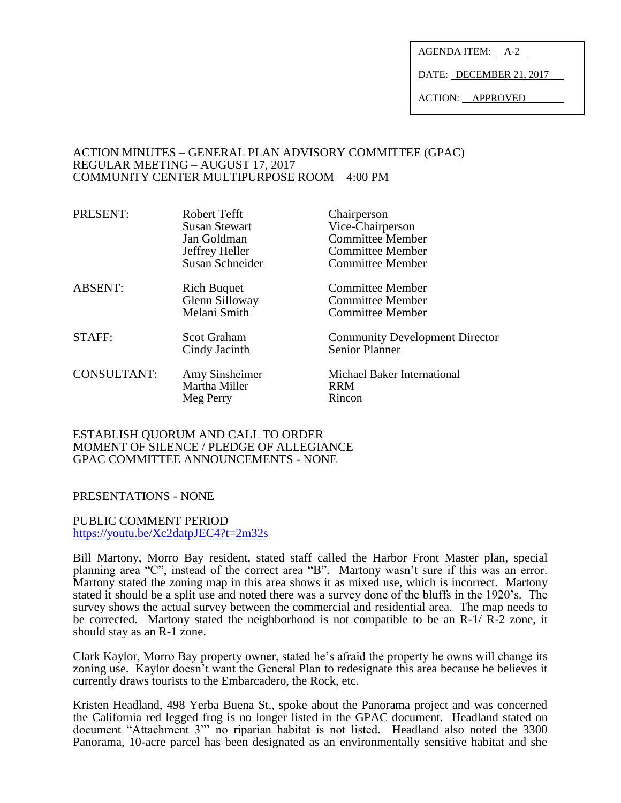AGENDA ITEM: A-2

DATE: DECEMBER 21, 2017

ACTION: APPROVED

#### ACTION MINUTES – GENERAL PLAN ADVISORY COMMITTEE (GPAC) REGULAR MEETING – AUGUST 17, 2017 COMMUNITY CENTER MULTIPURPOSE ROOM – 4:00 PM

| PRESENT:           | Robert Tefft<br>Susan Stewart | Chairperson<br>Vice-Chairperson       |
|--------------------|-------------------------------|---------------------------------------|
|                    | Jan Goldman                   | <b>Committee Member</b>               |
|                    | Jeffrey Heller                | <b>Committee Member</b>               |
|                    | Susan Schneider               | <b>Committee Member</b>               |
| <b>ABSENT:</b>     | <b>Rich Buquet</b>            | <b>Committee Member</b>               |
|                    | Glenn Silloway                | <b>Committee Member</b>               |
|                    | Melani Smith                  | <b>Committee Member</b>               |
| STAFF:             | Scot Graham                   | <b>Community Development Director</b> |
|                    | Cindy Jacinth                 | <b>Senior Planner</b>                 |
| <b>CONSULTANT:</b> | Amy Sinsheimer                | Michael Baker International           |
|                    | Martha Miller                 | <b>RRM</b>                            |
|                    | Meg Perry                     | Rincon                                |
|                    |                               |                                       |

ESTABLISH QUORUM AND CALL TO ORDER MOMENT OF SILENCE / PLEDGE OF ALLEGIANCE GPAC COMMITTEE ANNOUNCEMENTS - NONE

### PRESENTATIONS - NONE

PUBLIC COMMENT PERIOD <https://youtu.be/Xc2datpJEC4?t=2m32s>

Bill Martony, Morro Bay resident, stated staff called the Harbor Front Master plan, special planning area "C", instead of the correct area "B". Martony wasn't sure if this was an error. Martony stated the zoning map in this area shows it as mixed use, which is incorrect. Martony stated it should be a split use and noted there was a survey done of the bluffs in the 1920's. The survey shows the actual survey between the commercial and residential area. The map needs to be corrected. Martony stated the neighborhood is not compatible to be an R-1/ R-2 zone, it should stay as an R-1 zone.

Clark Kaylor, Morro Bay property owner, stated he's afraid the property he owns will change its zoning use. Kaylor doesn't want the General Plan to redesignate this area because he believes it currently draws tourists to the Embarcadero, the Rock, etc.

Kristen Headland, 498 Yerba Buena St., spoke about the Panorama project and was concerned the California red legged frog is no longer listed in the GPAC document. Headland stated on document "Attachment 3"' no riparian habitat is not listed. Headland also noted the 3300 Panorama, 10-acre parcel has been designated as an environmentally sensitive habitat and she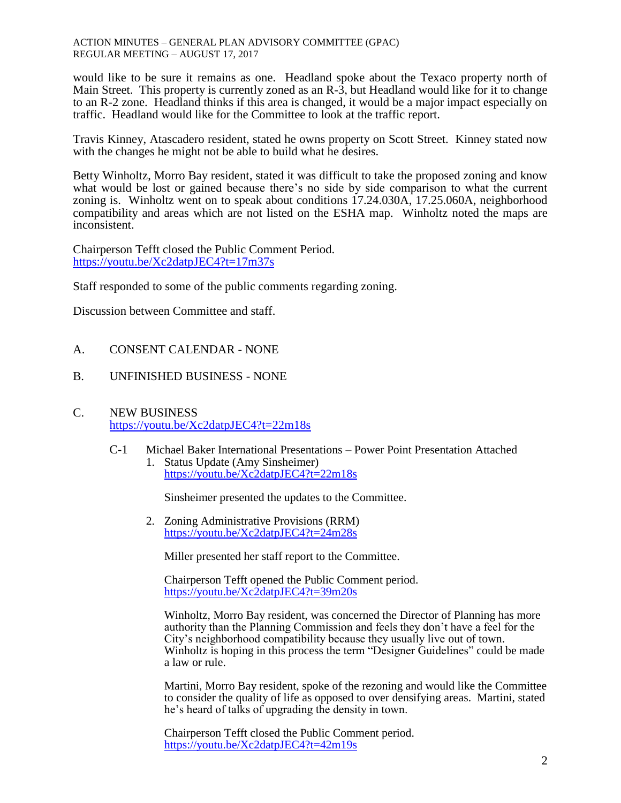ACTION MINUTES – GENERAL PLAN ADVISORY COMMITTEE (GPAC) REGULAR MEETING – AUGUST 17, 2017

would like to be sure it remains as one. Headland spoke about the Texaco property north of Main Street. This property is currently zoned as an R-3, but Headland would like for it to change to an R-2 zone. Headland thinks if this area is changed, it would be a major impact especially on traffic. Headland would like for the Committee to look at the traffic report.

Travis Kinney, Atascadero resident, stated he owns property on Scott Street. Kinney stated now with the changes he might not be able to build what he desires.

Betty Winholtz, Morro Bay resident, stated it was difficult to take the proposed zoning and know what would be lost or gained because there's no side by side comparison to what the current zoning is. Winholtz went on to speak about conditions 17.24.030A, 17.25.060A, neighborhood compatibility and areas which are not listed on the ESHA map. Winholtz noted the maps are inconsistent.

Chairperson Tefft closed the Public Comment Period. <https://youtu.be/Xc2datpJEC4?t=17m37s>

Staff responded to some of the public comments regarding zoning.

Discussion between Committee and staff.

### A. CONSENT CALENDAR - NONE

B. UNFINISHED BUSINESS - NONE

# C. NEW BUSINESS <https://youtu.be/Xc2datpJEC4?t=22m18s>

C-1 Michael Baker International Presentations – Power Point Presentation Attached 1. Status Update (Amy Sinsheimer) <https://youtu.be/Xc2datpJEC4?t=22m18s>

Sinsheimer presented the updates to the Committee.

2. Zoning Administrative Provisions (RRM) <https://youtu.be/Xc2datpJEC4?t=24m28s>

Miller presented her staff report to the Committee.

Chairperson Tefft opened the Public Comment period. <https://youtu.be/Xc2datpJEC4?t=39m20s>

Winholtz, Morro Bay resident, was concerned the Director of Planning has more authority than the Planning Commission and feels they don't have a feel for the City's neighborhood compatibility because they usually live out of town. Winholtz is hoping in this process the term "Designer Guidelines" could be made a law or rule.

Martini, Morro Bay resident, spoke of the rezoning and would like the Committee to consider the quality of life as opposed to over densifying areas. Martini, stated he's heard of talks of upgrading the density in town.

Chairperson Tefft closed the Public Comment period. <https://youtu.be/Xc2datpJEC4?t=42m19s>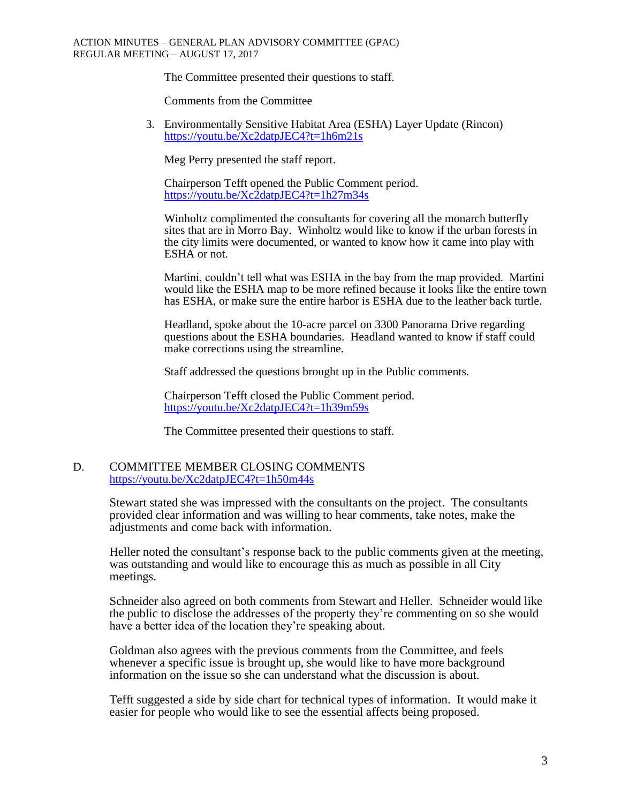The Committee presented their questions to staff.

Comments from the Committee

3. Environmentally Sensitive Habitat Area (ESHA) Layer Update (Rincon) <https://youtu.be/Xc2datpJEC4?t=1h6m21s>

Meg Perry presented the staff report.

Chairperson Tefft opened the Public Comment period. <https://youtu.be/Xc2datpJEC4?t=1h27m34s>

Winholtz complimented the consultants for covering all the monarch butterfly sites that are in Morro Bay. Winholtz would like to know if the urban forests in the city limits were documented, or wanted to know how it came into play with ESHA or not.

Martini, couldn't tell what was ESHA in the bay from the map provided. Martini would like the ESHA map to be more refined because it looks like the entire town has ESHA, or make sure the entire harbor is ESHA due to the leather back turtle.

Headland, spoke about the 10-acre parcel on 3300 Panorama Drive regarding questions about the ESHA boundaries. Headland wanted to know if staff could make corrections using the streamline.

Staff addressed the questions brought up in the Public comments.

Chairperson Tefft closed the Public Comment period. <https://youtu.be/Xc2datpJEC4?t=1h39m59s>

The Committee presented their questions to staff.

#### D. COMMITTEE MEMBER CLOSING COMMENTS <https://youtu.be/Xc2datpJEC4?t=1h50m44s>

Stewart stated she was impressed with the consultants on the project. The consultants provided clear information and was willing to hear comments, take notes, make the adjustments and come back with information.

Heller noted the consultant's response back to the public comments given at the meeting, was outstanding and would like to encourage this as much as possible in all City meetings.

Schneider also agreed on both comments from Stewart and Heller. Schneider would like the public to disclose the addresses of the property they're commenting on so she would have a better idea of the location they're speaking about.

Goldman also agrees with the previous comments from the Committee, and feels whenever a specific issue is brought up, she would like to have more background information on the issue so she can understand what the discussion is about.

Tefft suggested a side by side chart for technical types of information. It would make it easier for people who would like to see the essential affects being proposed.